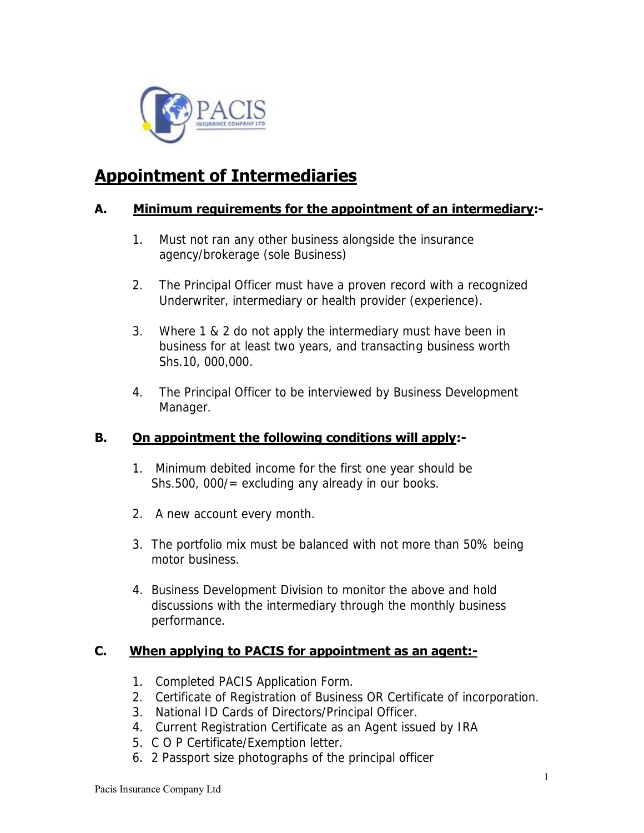

# **Appointment of Intermediaries**

### **A. Minimum requirements for the appointment of an intermediary:-**

- 1. Must not ran any other business alongside the insurance agency/brokerage (sole Business)
- 2. The Principal Officer must have a proven record with a recognized Underwriter, intermediary or health provider (experience).
- 3. Where 1 & 2 do not apply the intermediary must have been in business for at least two years, and transacting business worth Shs.10, 000,000.
- 4. The Principal Officer to be interviewed by Business Development Manager.

## **B. On appointment the following conditions will apply:-**

- 1. Minimum debited income for the first one year should be Shs.500, 000/= excluding any already in our books.
- 2. A new account every month.
- 3. The portfolio mix must be balanced with not more than 50% being motor business.
- 4. Business Development Division to monitor the above and hold discussions with the intermediary through the monthly business performance.

### **C. When applying to PACIS for appointment as an agent:-**

- 1. Completed PACIS Application Form.
- 2. Certificate of Registration of Business OR Certificate of incorporation.
- 3. National ID Cards of Directors/Principal Officer.
- 4. Current Registration Certificate as an Agent issued by IRA
- 5. C O P Certificate/Exemption letter.
- 6. 2 Passport size photographs of the principal officer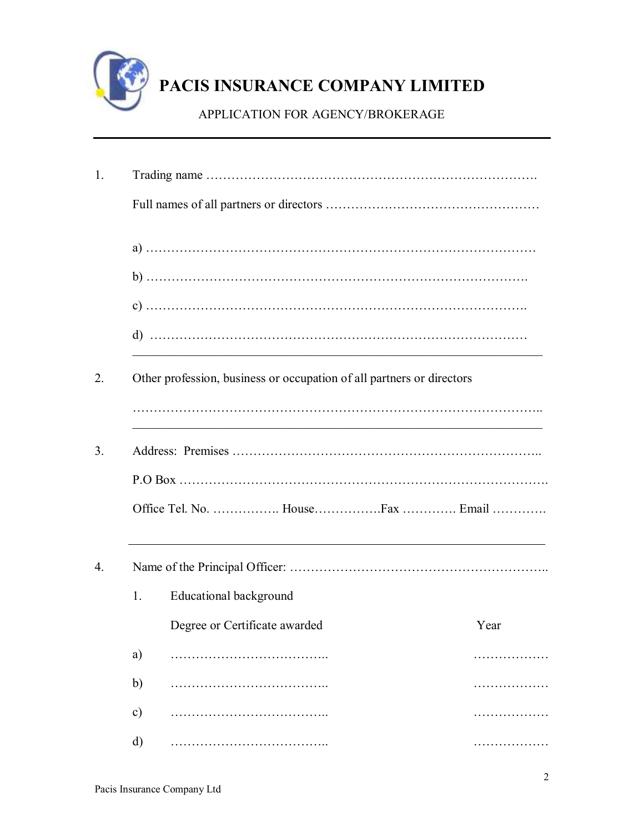

# **PACIS INSURANCE COMPANY LIMITED**

APPLICATION FOR AGENCY/BROKERAGE

|               |                                                                       | <u> 1989 - Johann John Stone, market fan it ferskearre fan it ferskearre fan it ferskearre fan it ferskearre fan i</u>                                                                                                        |
|---------------|-----------------------------------------------------------------------|-------------------------------------------------------------------------------------------------------------------------------------------------------------------------------------------------------------------------------|
|               | Other profession, business or occupation of all partners or directors |                                                                                                                                                                                                                               |
|               |                                                                       |                                                                                                                                                                                                                               |
|               | Office Tel. No.  HouseFax  Email                                      |                                                                                                                                                                                                                               |
|               |                                                                       | the control of the control of the control of the control of the control of the control of the control of the control of the control of the control of the control of the control of the control of the control of the control |
| 1.            | Educational background                                                |                                                                                                                                                                                                                               |
|               | Degree or Certificate awarded                                         | Year                                                                                                                                                                                                                          |
| a)            |                                                                       |                                                                                                                                                                                                                               |
| b)            |                                                                       |                                                                                                                                                                                                                               |
| $\mathbf{c})$ |                                                                       |                                                                                                                                                                                                                               |
| $\rm d$       |                                                                       |                                                                                                                                                                                                                               |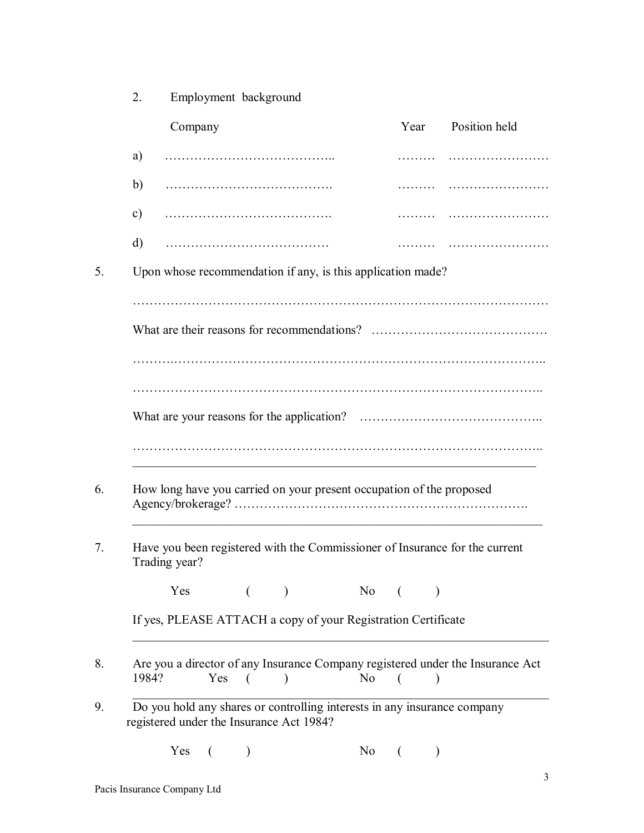|    | Employment background<br>2.                                                                                          |        |               |
|----|----------------------------------------------------------------------------------------------------------------------|--------|---------------|
|    | Company                                                                                                              | Year   | Position held |
|    | a)                                                                                                                   |        |               |
|    | b)                                                                                                                   |        |               |
|    | $\mathbf{c})$                                                                                                        |        |               |
|    | d)                                                                                                                   |        |               |
| 5. | Upon whose recommendation if any, is this application made?                                                          |        |               |
|    |                                                                                                                      |        |               |
|    |                                                                                                                      |        |               |
|    |                                                                                                                      |        |               |
|    |                                                                                                                      |        |               |
|    |                                                                                                                      |        |               |
|    |                                                                                                                      |        |               |
| 6. | How long have you carried on your present occupation of the proposed                                                 |        |               |
| 7. | Have you been registered with the Commissioner of Insurance for the current<br>Trading year?                         |        |               |
|    | Yes                                                                                                                  | No     |               |
|    | If yes, PLEASE ATTACH a copy of your Registration Certificate                                                        |        |               |
| 8. | Are you a director of any Insurance Company registered under the Insurance Act<br>1984?<br>$Yes$ (<br>$\lambda$      | $No$ ( |               |
| 9. | Do you hold any shares or controlling interests in any insurance company<br>registered under the Insurance Act 1984? |        |               |
|    | Yes<br>N <sub>0</sub>                                                                                                |        |               |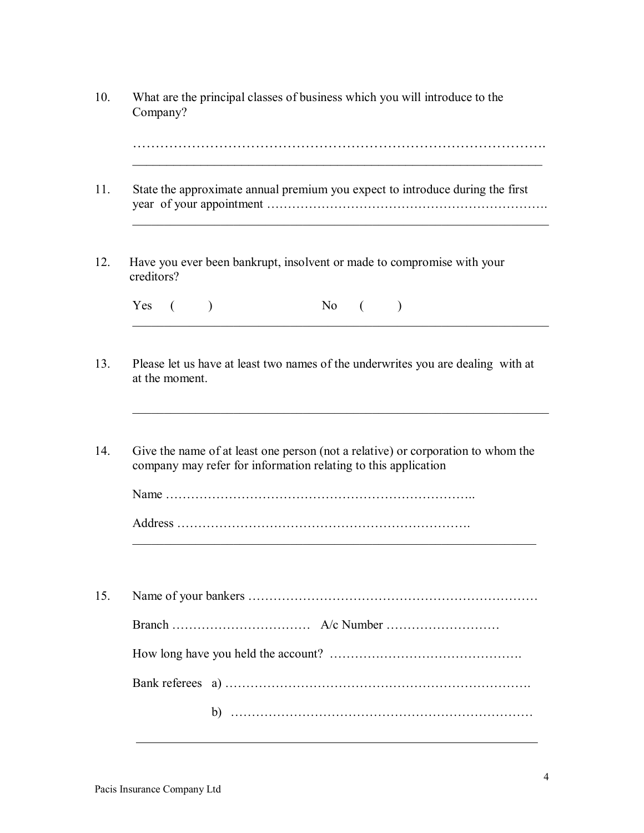|                |           | State the approximate annual premium you expect to introduce during the first    |         |                                                                                  |
|----------------|-----------|----------------------------------------------------------------------------------|---------|----------------------------------------------------------------------------------|
| creditors?     |           | Have you ever been bankrupt, insolvent or made to compromise with your           |         |                                                                                  |
| Yes (          | $\lambda$ | $No$ (                                                                           | $\big)$ |                                                                                  |
|                |           | Give the name of at least one person (not a relative) or corporation to whom the |         | Please let us have at least two names of the underwrites you are dealing with at |
|                |           | company may refer for information relating to this application                   |         |                                                                                  |
|                |           |                                                                                  |         |                                                                                  |
|                |           |                                                                                  |         |                                                                                  |
|                |           |                                                                                  |         |                                                                                  |
| at the moment. |           |                                                                                  |         |                                                                                  |